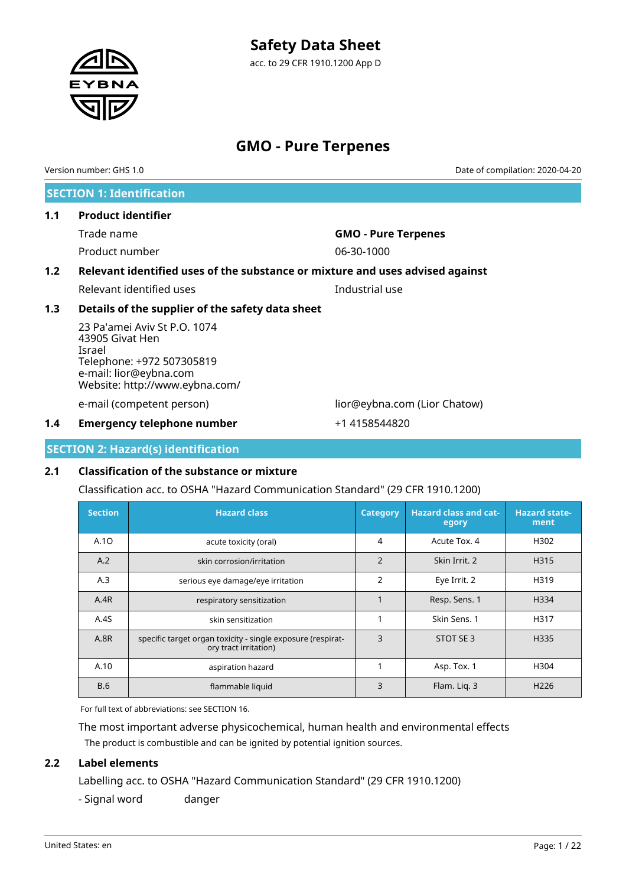acc. to 29 CFR 1910.1200 App D

# **GMO - Pure Terpenes**

**SECTION 1: Identification 1.1 Product identifier** Trade name **GMO - Pure Terpenes** Product number 06-30-1000 **1.2 Relevant identified uses of the substance or mixture and uses advised against** Relevant identified uses **Industrial** use **1.3 Details of the supplier of the safety data sheet** 23 Pa'amei Aviv St P.O. 1074 43905 Givat Hen Israel Telephone: +972 507305819 e-mail: lior@eybna.com Website: http://www.eybna.com/ e-mail (competent person) lior@eybna.com (Lior Chatow) **1.4 Emergency telephone number** +1 4158544820 Version number: GHS 1.0 Date of compilation: 2020-04-20

**SECTION 2: Hazard(s) identification**

# **2.1 Classification of the substance or mixture**

Classification acc. to OSHA "Hazard Communication Standard" (29 CFR 1910.1200)

| <b>Section</b> | <b>Hazard class</b>                                                                  | <b>Category</b> | <b>Hazard class and cat-</b><br>egory | <b>Hazard state-</b><br>ment |
|----------------|--------------------------------------------------------------------------------------|-----------------|---------------------------------------|------------------------------|
| A.10           | acute toxicity (oral)                                                                | 4               | Acute Tox, 4                          | H302                         |
| A.2            | skin corrosion/irritation                                                            | $\overline{2}$  | Skin Irrit. 2                         | H315                         |
| A.3            | serious eye damage/eye irritation                                                    | $\overline{2}$  | Eye Irrit. 2                          | H319                         |
| A.4R           | respiratory sensitization                                                            | 1               | Resp. Sens. 1                         | H334                         |
| A.4S           | skin sensitization                                                                   | 1               | Skin Sens. 1                          | H317                         |
| <b>A.8R</b>    | specific target organ toxicity - single exposure (respirat-<br>ory tract irritation) | 3               | STOT SE 3                             | H335                         |
| A.10           | aspiration hazard                                                                    |                 | Asp. Tox. 1                           | H304                         |
| <b>B.6</b>     | flammable liquid                                                                     | 3               | Flam. Lig. 3                          | H <sub>226</sub>             |

For full text of abbreviations: see SECTION 16.

The most important adverse physicochemical, human health and environmental effects The product is combustible and can be ignited by potential ignition sources.

# **2.2 Label elements**

Labelling acc. to OSHA "Hazard Communication Standard" (29 CFR 1910.1200)

- Signal word danger

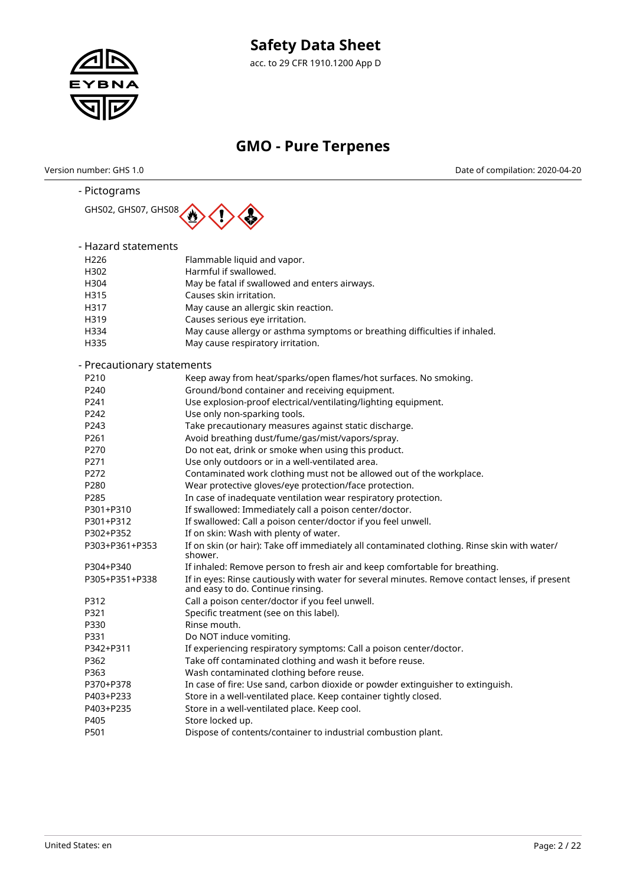

acc. to 29 CFR 1910.1200 App D

# **GMO - Pure Terpenes**

Version number: GHS 1.0 Date of compilation: 2020-04-20

| - Pictograms               |                                                                                                                                     |
|----------------------------|-------------------------------------------------------------------------------------------------------------------------------------|
| GHS02, GHS07, GHS08        |                                                                                                                                     |
| - Hazard statements        |                                                                                                                                     |
| H <sub>226</sub>           | Flammable liquid and vapor.                                                                                                         |
| H302                       | Harmful if swallowed.                                                                                                               |
| H304                       | May be fatal if swallowed and enters airways.                                                                                       |
| H315                       | Causes skin irritation.                                                                                                             |
| H317                       | May cause an allergic skin reaction.                                                                                                |
| H319                       | Causes serious eye irritation.                                                                                                      |
| H334                       | May cause allergy or asthma symptoms or breathing difficulties if inhaled.                                                          |
| H335                       | May cause respiratory irritation.                                                                                                   |
| - Precautionary statements |                                                                                                                                     |
| P <sub>210</sub>           | Keep away from heat/sparks/open flames/hot surfaces. No smoking.                                                                    |
| P240                       | Ground/bond container and receiving equipment.                                                                                      |
| P241                       | Use explosion-proof electrical/ventilating/lighting equipment.                                                                      |
| P242                       | Use only non-sparking tools.                                                                                                        |
| P243                       | Take precautionary measures against static discharge.                                                                               |
| P261                       | Avoid breathing dust/fume/gas/mist/vapors/spray.                                                                                    |
| P270                       | Do not eat, drink or smoke when using this product.                                                                                 |
| P271                       | Use only outdoors or in a well-ventilated area.                                                                                     |
| P272                       | Contaminated work clothing must not be allowed out of the workplace.                                                                |
| P280                       | Wear protective gloves/eye protection/face protection.                                                                              |
| P285                       | In case of inadequate ventilation wear respiratory protection.                                                                      |
| P301+P310                  | If swallowed: Immediately call a poison center/doctor.                                                                              |
| P301+P312                  | If swallowed: Call a poison center/doctor if you feel unwell.                                                                       |
| P302+P352                  | If on skin: Wash with plenty of water.                                                                                              |
| P303+P361+P353             | If on skin (or hair): Take off immediately all contaminated clothing. Rinse skin with water/<br>shower.                             |
| P304+P340                  | If inhaled: Remove person to fresh air and keep comfortable for breathing.                                                          |
| P305+P351+P338             | If in eyes: Rinse cautiously with water for several minutes. Remove contact lenses, if present<br>and easy to do. Continue rinsing. |
| P312                       | Call a poison center/doctor if you feel unwell.                                                                                     |
| P321                       | Specific treatment (see on this label).                                                                                             |
| P330                       | Rinse mouth.                                                                                                                        |
| P331                       | Do NOT induce vomiting.                                                                                                             |
| P342+P311                  | If experiencing respiratory symptoms: Call a poison center/doctor.                                                                  |
| P362                       | Take off contaminated clothing and wash it before reuse.                                                                            |
| P363                       | Wash contaminated clothing before reuse.                                                                                            |
| P370+P378                  | In case of fire: Use sand, carbon dioxide or powder extinguisher to extinguish.                                                     |
| P403+P233                  | Store in a well-ventilated place. Keep container tightly closed.                                                                    |
| P403+P235                  | Store in a well-ventilated place. Keep cool.                                                                                        |
| P405                       | Store locked up.                                                                                                                    |
| P501                       | Dispose of contents/container to industrial combustion plant.                                                                       |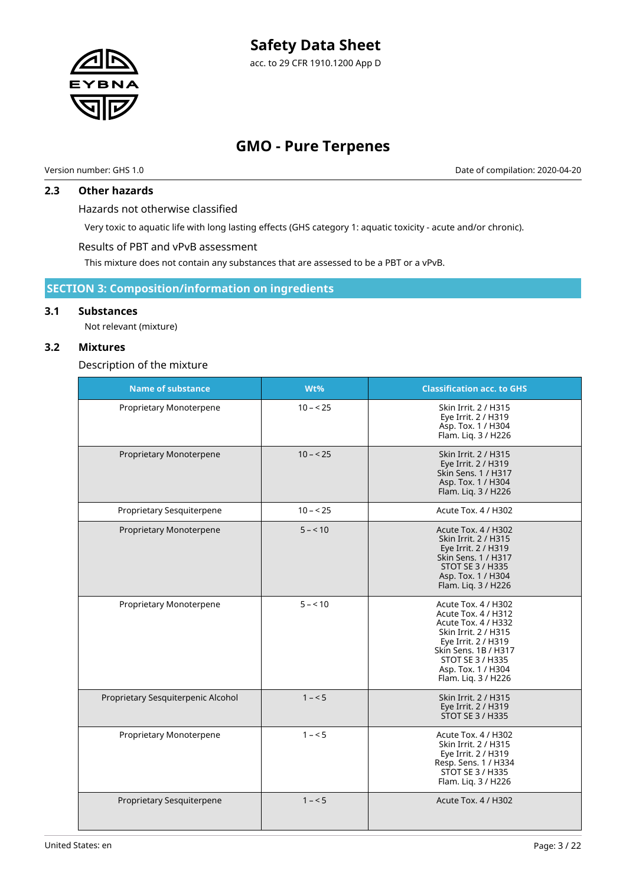

Version number: GHS 1.0 Date of compilation: 2020-04-20

### **2.3 Other hazards**

Hazards not otherwise classified

Very toxic to aquatic life with long lasting effects (GHS category 1: aquatic toxicity - acute and/or chronic).

Results of PBT and vPvB assessment

This mixture does not contain any substances that are assessed to be a PBT or a vPvB.

# **SECTION 3: Composition/information on ingredients**

### **3.1 Substances**

Not relevant (mixture)

### **3.2 Mixtures**

Description of the mixture

| <b>Name of substance</b>           | Wt%       | <b>Classification acc. to GHS</b>                                                                                                                                                                         |
|------------------------------------|-----------|-----------------------------------------------------------------------------------------------------------------------------------------------------------------------------------------------------------|
| Proprietary Monoterpene            | $10 - 25$ | Skin Irrit. 2 / H315<br>Eye Irrit. 2 / H319<br>Asp. Tox. 1 / H304<br>Flam. Liq. 3 / H226                                                                                                                  |
| Proprietary Monoterpene            | $10 - 25$ | Skin Irrit. 2 / H315<br>Eye Irrit. 2 / H319<br>Skin Sens. 1 / H317<br>Asp. Tox. 1 / H304<br>Flam. Liq. 3 / H226                                                                                           |
| Proprietary Sesquiterpene          | $10 - 25$ | Acute Tox. 4 / H302                                                                                                                                                                                       |
| Proprietary Monoterpene            | $5 - 10$  | Acute Tox. 4 / H302<br>Skin Irrit. 2 / H315<br>Eye Irrit. 2 / H319<br>Skin Sens. 1 / H317<br><b>STOT SE 3 / H335</b><br>Asp. Tox. 1 / H304<br>Flam. Liq. 3 / H226                                         |
| Proprietary Monoterpene            | $5 - 10$  | Acute Tox. 4 / H302<br>Acute Tox. 4 / H312<br>Acute Tox. 4 / H332<br>Skin Irrit. 2 / H315<br>Eye Irrit. 2 / H319<br>Skin Sens, 1B / H317<br>STOT SE 3 / H335<br>Asp. Tox. 1 / H304<br>Flam. Liq. 3 / H226 |
| Proprietary Sesquiterpenic Alcohol | $1 - 5$   | Skin Irrit. 2 / H315<br>Eye Irrit. 2 / H319<br><b>STOT SE 3 / H335</b>                                                                                                                                    |
| Proprietary Monoterpene            | $1 - 5$   | Acute Tox. 4 / H302<br>Skin Irrit. 2 / H315<br>Eye Irrit. 2 / H319<br>Resp. Sens. 1 / H334<br>STOT SE 3 / H335<br>Flam. Liq. 3 / H226                                                                     |
| Proprietary Sesquiterpene          | $1 - 5$   | Acute Tox. 4 / H302                                                                                                                                                                                       |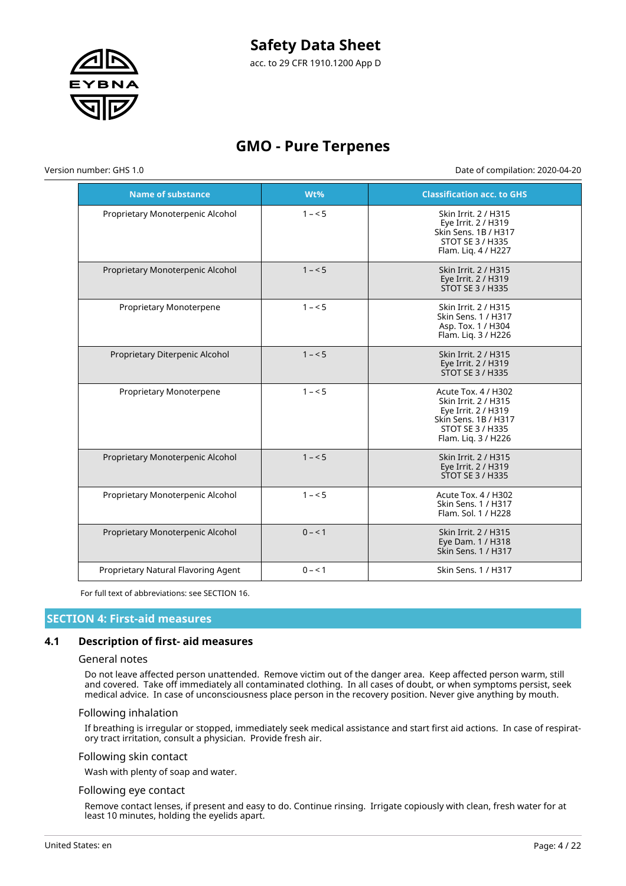

acc. to 29 CFR 1910.1200 App D

# **GMO - Pure Terpenes**

Version number: GHS 1.0 Date of compilation: 2020-04-20

| <b>Name of substance</b>            | Wt%     | <b>Classification acc. to GHS</b>                                                                                                            |
|-------------------------------------|---------|----------------------------------------------------------------------------------------------------------------------------------------------|
| Proprietary Monoterpenic Alcohol    | $1 - 5$ | Skin Irrit. 2 / H315<br>Eye Irrit. 2 / H319<br>Skin Sens, 1B / H317<br><b>STOT SE 3 / H335</b><br>Flam. Lig. 4 / H227                        |
| Proprietary Monoterpenic Alcohol    | $1 - 5$ | Skin Irrit. 2 / H315<br>Eye Irrit. 2 / H319<br>STOT SE 3 / H335                                                                              |
| Proprietary Monoterpene             | $1 - 5$ | Skin Irrit. 2 / H315<br>Skin Sens, 1 / H317<br>Asp. Tox. 1 / H304<br>Flam. Liq. 3 / H226                                                     |
| Proprietary Diterpenic Alcohol      | $1 - 5$ | Skin Irrit. 2 / H315<br>Eye Irrit. 2 / H319<br>STOT SE 3 / H335                                                                              |
| Proprietary Monoterpene             | $1 - 5$ | Acute Tox. 4 / H302<br>Skin Irrit. 2 / H315<br>Eye Irrit. 2 / H319<br>Skin Sens, 1B / H317<br><b>STOT SE 3 / H335</b><br>Flam. Lig. 3 / H226 |
| Proprietary Monoterpenic Alcohol    | $1 - 5$ | Skin Irrit. 2 / H315<br>Eye Irrit. 2 / H319<br><b>STOT SE 3 / H335</b>                                                                       |
| Proprietary Monoterpenic Alcohol    | $1 - 5$ | Acute Tox. 4 / H302<br>Skin Sens, 1 / H317<br>Flam. Sol. 1 / H228                                                                            |
| Proprietary Monoterpenic Alcohol    | $0 - 1$ | Skin Irrit. 2 / H315<br>Eye Dam. 1 / H318<br>Skin Sens. 1 / H317                                                                             |
| Proprietary Natural Flavoring Agent | $0 - 1$ | Skin Sens. 1 / H317                                                                                                                          |

For full text of abbreviations: see SECTION 16.

# **SECTION 4: First-aid measures**

### **4.1 Description of first- aid measures**

#### General notes

Do not leave affected person unattended. Remove victim out of the danger area. Keep affected person warm, still and covered. Take off immediately all contaminated clothing. In all cases of doubt, or when symptoms persist, seek medical advice. In case of unconsciousness place person in the recovery position. Never give anything by mouth.

#### Following inhalation

If breathing is irregular or stopped, immediately seek medical assistance and start first aid actions. In case of respiratory tract irritation, consult a physician. Provide fresh air.

#### Following skin contact

Wash with plenty of soap and water.

#### Following eye contact

Remove contact lenses, if present and easy to do. Continue rinsing. Irrigate copiously with clean, fresh water for at least 10 minutes, holding the eyelids apart.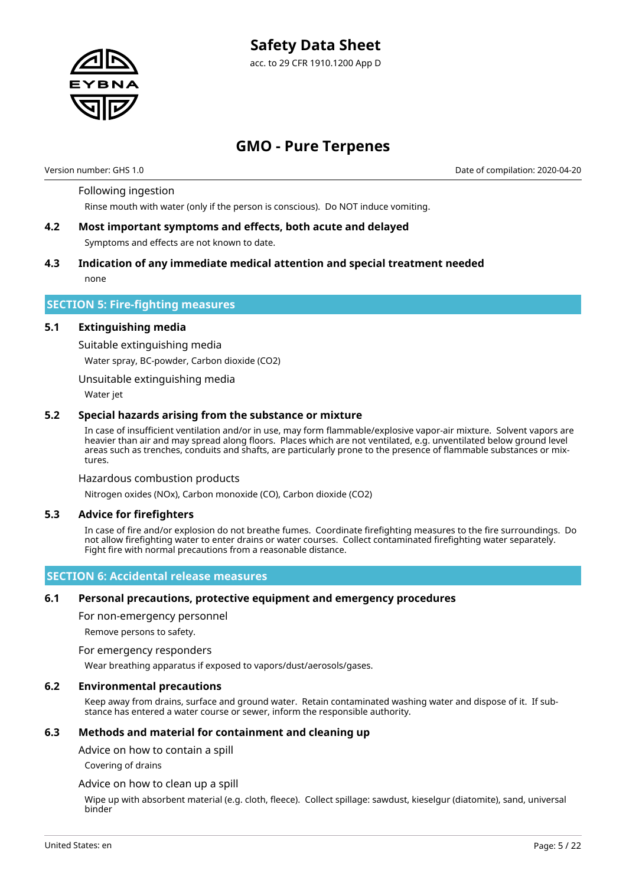

# **GMO - Pure Terpenes**

Version number: GHS 1.0 Date of compilation: 2020-04-20

#### Following ingestion

Rinse mouth with water (only if the person is conscious). Do NOT induce vomiting.

- **4.2 Most important symptoms and effects, both acute and delayed** Symptoms and effects are not known to date.
- **4.3 Indication of any immediate medical attention and special treatment needed** none

#### **SECTION 5: Fire-fighting measures**

#### **5.1 Extinguishing media**

Suitable extinguishing media Water spray, BC-powder, Carbon dioxide (CO2)

Unsuitable extinguishing media

Water jet

#### **5.2 Special hazards arising from the substance or mixture**

In case of insufficient ventilation and/or in use, may form flammable/explosive vapor-air mixture. Solvent vapors are heavier than air and may spread along floors. Places which are not ventilated, e.g. unventilated below ground level areas such as trenches, conduits and shafts, are particularly prone to the presence of flammable substances or mixtures.

#### Hazardous combustion products

Nitrogen oxides (NOx), Carbon monoxide (CO), Carbon dioxide (CO2)

#### **5.3 Advice for firefighters**

In case of fire and/or explosion do not breathe fumes. Coordinate firefighting measures to the fire surroundings. Do not allow firefighting water to enter drains or water courses. Collect contaminated firefighting water separately. Fight fire with normal precautions from a reasonable distance.

### **SECTION 6: Accidental release measures**

#### **6.1 Personal precautions, protective equipment and emergency procedures**

For non-emergency personnel

Remove persons to safety.

#### For emergency responders

Wear breathing apparatus if exposed to vapors/dust/aerosols/gases.

#### **6.2 Environmental precautions**

Keep away from drains, surface and ground water. Retain contaminated washing water and dispose of it. If substance has entered a water course or sewer, inform the responsible authority.

#### **6.3 Methods and material for containment and cleaning up**

Advice on how to contain a spill

Covering of drains

#### Advice on how to clean up a spill

Wipe up with absorbent material (e.g. cloth, fleece). Collect spillage: sawdust, kieselgur (diatomite), sand, universal binder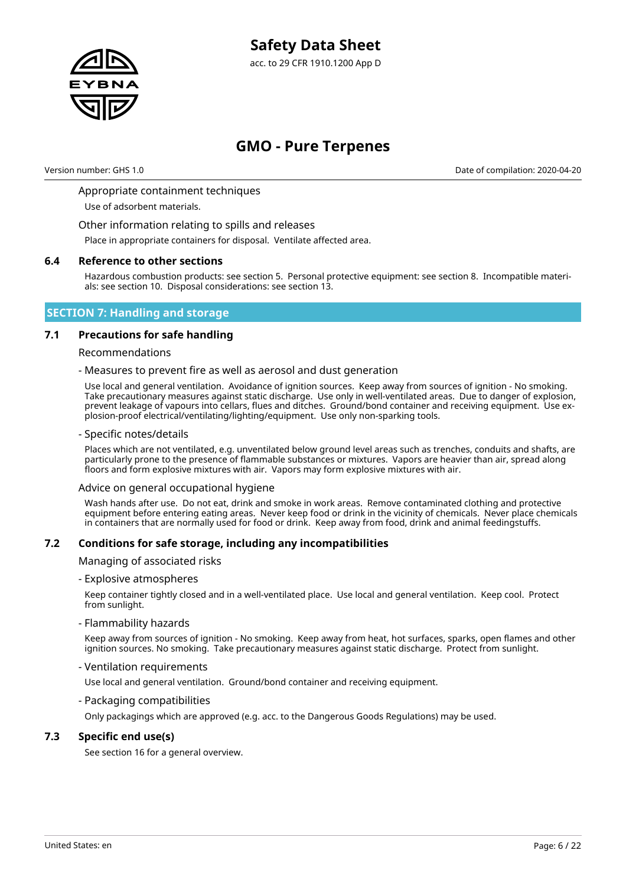

Version number: GHS 1.0 Date of compilation: 2020-04-20

#### Appropriate containment techniques

Use of adsorbent materials.

Other information relating to spills and releases

Place in appropriate containers for disposal. Ventilate affected area.

#### **6.4 Reference to other sections**

Hazardous combustion products: see section 5. Personal protective equipment: see section 8. Incompatible materials: see section 10. Disposal considerations: see section 13.

#### **SECTION 7: Handling and storage**

#### **7.1 Precautions for safe handling**

#### Recommendations

#### - Measures to prevent fire as well as aerosol and dust generation

Use local and general ventilation. Avoidance of ignition sources. Keep away from sources of ignition - No smoking. Take precautionary measures against static discharge. Use only in well-ventilated areas. Due to danger of explosion, prevent leakage of vapours into cellars, flues and ditches. Ground/bond container and receiving equipment. Use explosion-proof electrical/ventilating/lighting/equipment. Use only non-sparking tools.

#### - Specific notes/details

Places which are not ventilated, e.g. unventilated below ground level areas such as trenches, conduits and shafts, are particularly prone to the presence of flammable substances or mixtures. Vapors are heavier than air, spread along floors and form explosive mixtures with air. Vapors may form explosive mixtures with air.

#### Advice on general occupational hygiene

Wash hands after use. Do not eat, drink and smoke in work areas. Remove contaminated clothing and protective equipment before entering eating areas. Never keep food or drink in the vicinity of chemicals. Never place chemicals in containers that are normally used for food or drink. Keep away from food, drink and animal feedingstuffs.

#### **7.2 Conditions for safe storage, including any incompatibilities**

#### Managing of associated risks

- Explosive atmospheres

Keep container tightly closed and in a well-ventilated place. Use local and general ventilation. Keep cool. Protect from sunlight.

#### - Flammability hazards

Keep away from sources of ignition - No smoking. Keep away from heat, hot surfaces, sparks, open flames and other ignition sources. No smoking. Take precautionary measures against static discharge. Protect from sunlight.

#### - Ventilation requirements

Use local and general ventilation. Ground/bond container and receiving equipment.

#### - Packaging compatibilities

Only packagings which are approved (e.g. acc. to the Dangerous Goods Regulations) may be used.

#### **7.3 Specific end use(s)**

See section 16 for a general overview.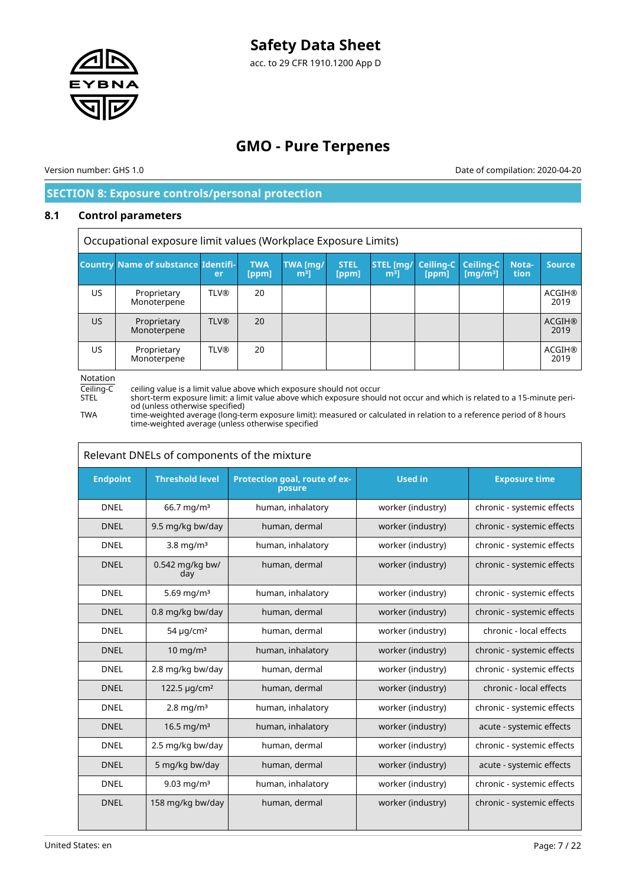

acc. to 29 CFR 1910.1200 App D

# **GMO - Pure Terpenes**

Version number: GHS 1.0 Date of compilation: 2020-04-20

# **SECTION 8: Exposure controls/personal protection**

### **8.1 Control parameters**

Occupational exposure limit values (Workplace Exposure Limits)

|    | <b>Country Name of substance Identifi-</b> | er          | <b>TWA</b><br>[ppm] | TWA [mg/<br>m <sup>3</sup> | <b>STEL</b><br>[ppm] | <b>STEL [mg/ Ceiling-C   Ceiling-C  </b><br>m <sup>3</sup> l | [ppm] | $\left[\frac{mq}{m^3}\right]$ | Nota-<br>tion | <b>Source</b>         |
|----|--------------------------------------------|-------------|---------------------|----------------------------|----------------------|--------------------------------------------------------------|-------|-------------------------------|---------------|-----------------------|
| US | Proprietary<br>Monoterpene                 | <b>TLV®</b> | 20                  |                            |                      |                                                              |       |                               |               | <b>ACGIH®</b><br>2019 |
| US | Proprietary<br>Monoterpene                 | <b>TLV®</b> | 20                  |                            |                      |                                                              |       |                               |               | <b>ACGIH®</b><br>2019 |
| US | Proprietary<br>Monoterpene                 | <b>TLV®</b> | 20                  |                            |                      |                                                              |       |                               |               | <b>ACGIH®</b><br>2019 |

Notation

Ceiling-C ceiling value is a limit value above which exposure should not occur<br>STEL short-term exposure limit: a limit value above which exposure shoul STEL short-term exposure limit: a limit value above which exposure should not occur and which is related to a 15-minute period (unless otherwise specified)

TWA time-weighted average (long-term exposure limit): measured or calculated in relation to a reference period of 8 hours time-weighted average (unless otherwise specified

| Relevant DNELs of components of the mixture |                            |                                         |                   |                            |  |  |
|---------------------------------------------|----------------------------|-----------------------------------------|-------------------|----------------------------|--|--|
| <b>Endpoint</b>                             | <b>Threshold level</b>     | Protection goal, route of ex-<br>posure | <b>Used in</b>    | <b>Exposure time</b>       |  |  |
| <b>DNEL</b>                                 | $66.7$ mg/m <sup>3</sup>   | human, inhalatory                       | worker (industry) | chronic - systemic effects |  |  |
| <b>DNEL</b>                                 | 9.5 mg/kg bw/day           | human, dermal                           | worker (industry) | chronic - systemic effects |  |  |
| <b>DNEL</b>                                 | 3.8 mg/ $m3$               | human, inhalatory                       | worker (industry) | chronic - systemic effects |  |  |
| <b>DNEL</b>                                 | 0.542 mg/kg bw/<br>day     | human, dermal                           | worker (industry) | chronic - systemic effects |  |  |
| <b>DNEL</b>                                 | 5.69 mg/m <sup>3</sup>     | human, inhalatory                       | worker (industry) | chronic - systemic effects |  |  |
| <b>DNEL</b>                                 | 0.8 mg/kg bw/day           | human, dermal                           | worker (industry) | chronic - systemic effects |  |  |
| <b>DNEL</b>                                 | 54 $\mu$ g/cm <sup>2</sup> | human, dermal                           | worker (industry) | chronic - local effects    |  |  |
| <b>DNEL</b>                                 | $10$ mg/m <sup>3</sup>     | human, inhalatory                       | worker (industry) | chronic - systemic effects |  |  |
| <b>DNEL</b>                                 | 2.8 mg/kg bw/day           | human, dermal                           | worker (industry) | chronic - systemic effects |  |  |
| <b>DNEL</b>                                 | 122.5 µg/cm <sup>2</sup>   | human, dermal                           | worker (industry) | chronic - local effects    |  |  |
| <b>DNEL</b>                                 | $2.8$ mg/m <sup>3</sup>    | human, inhalatory                       | worker (industry) | chronic - systemic effects |  |  |
| <b>DNEL</b>                                 | 16.5 mg/m <sup>3</sup>     | human, inhalatory                       | worker (industry) | acute - systemic effects   |  |  |
| <b>DNEL</b>                                 | 2.5 mg/kg bw/day           | human, dermal                           | worker (industry) | chronic - systemic effects |  |  |
| <b>DNEL</b>                                 | 5 mg/kg bw/day             | human, dermal                           | worker (industry) | acute - systemic effects   |  |  |
| <b>DNEL</b>                                 | 9.03 mg/m <sup>3</sup>     | human, inhalatory                       | worker (industry) | chronic - systemic effects |  |  |
| <b>DNEL</b>                                 | 158 mg/kg bw/day           | human, dermal                           | worker (industry) | chronic - systemic effects |  |  |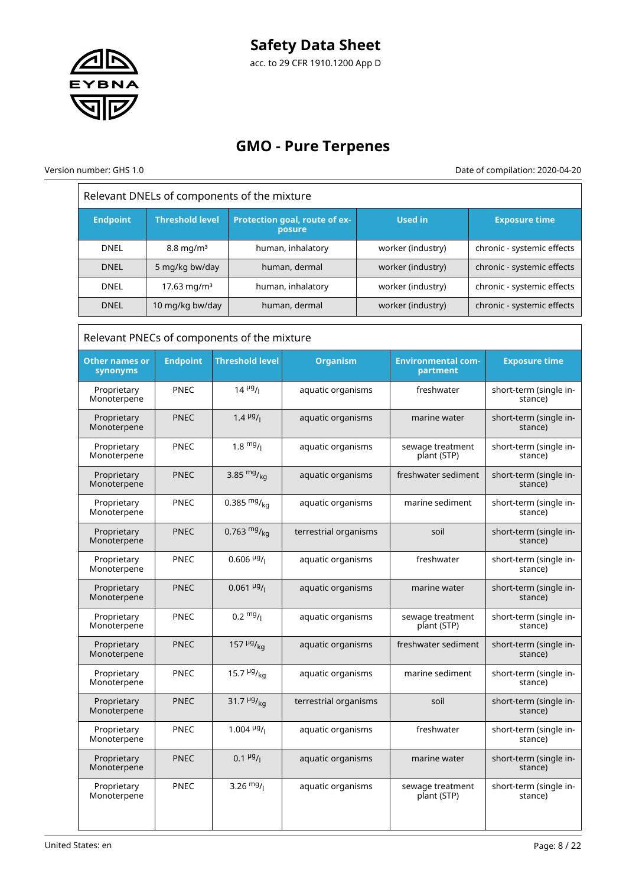

# **GMO - Pure Terpenes**

Version number: GHS 1.0 Date of compilation: 2020-04-20

 $\bar{1}$ 

| Relevant DNELs of components of the mixture |                         |                                             |                                         |                     |                                       |  |                                   |                                   |
|---------------------------------------------|-------------------------|---------------------------------------------|-----------------------------------------|---------------------|---------------------------------------|--|-----------------------------------|-----------------------------------|
| <b>Endpoint</b>                             | <b>Threshold level</b>  |                                             | Protection goal, route of ex-<br>posure |                     | <b>Used in</b>                        |  | <b>Exposure time</b>              |                                   |
| <b>DNEL</b>                                 | $8.8 \text{ mg/m}^3$    |                                             | human, inhalatory                       | worker (industry)   |                                       |  | chronic - systemic effects        |                                   |
| <b>DNEL</b>                                 | 5 mg/kg bw/day          |                                             | human, dermal                           |                     | worker (industry)                     |  | chronic - systemic effects        |                                   |
| <b>DNEL</b>                                 | 17.63 mg/m <sup>3</sup> |                                             | human, inhalatory                       |                     | worker (industry)                     |  | chronic - systemic effects        |                                   |
| <b>DNEL</b>                                 | 10 mg/kg bw/day         |                                             | human, dermal                           |                     | worker (industry)                     |  | chronic - systemic effects        |                                   |
|                                             |                         | Relevant PNECs of components of the mixture |                                         |                     |                                       |  |                                   |                                   |
| <b>Other names or</b><br>synonyms           | <b>Endpoint</b>         | <b>Threshold level</b>                      | <b>Organism</b>                         |                     | <b>Environmental com-</b><br>partment |  | <b>Exposure time</b>              |                                   |
| Proprietary<br>Monoterpene                  | <b>PNEC</b>             | $14 \frac{\mu g}{I}$                        | aquatic organisms                       |                     | freshwater                            |  | short-term (single in-<br>stance) |                                   |
| Proprietary<br>Monoterpene                  | <b>PNEC</b>             | $1.4 \frac{\mu g}{I}$                       | aquatic organisms                       |                     | marine water                          |  | short-term (single in-<br>stance) |                                   |
| Proprietary<br>Monoterpene                  | <b>PNEC</b>             | $1.8 \frac{mg}{l}$                          | aquatic organisms                       |                     | sewage treatment<br>plant (STP)       |  | short-term (single in-<br>stance) |                                   |
| Proprietary<br>Monoterpene                  | <b>PNEC</b>             | 3.85 $mg/_{kq}$                             | aquatic organisms                       |                     | freshwater sediment                   |  | short-term (single in-<br>stance) |                                   |
| Proprietary<br>Monoterpene                  | PNEC                    | 0.385 $mg/kq$                               | aquatic organisms                       |                     | marine sediment                       |  | short-term (single in-<br>stance) |                                   |
| Proprietary<br>Monoterpene                  | <b>PNEC</b>             | 0.763 $mg/kq$                               | terrestrial organisms                   |                     | soil                                  |  | short-term (single in-<br>stance) |                                   |
| Proprietary<br>Monoterpene                  | <b>PNEC</b>             | $0.606$ <sup>µg</sup> / <sub>l</sub>        | aquatic organisms                       |                     | freshwater                            |  | short-term (single in-<br>stance) |                                   |
| Proprietary<br>Monoterpene                  | <b>PNEC</b>             | $0.061 \frac{\mu g}{\mu}$                   | aquatic organisms                       |                     | marine water                          |  | short-term (single in-<br>stance) |                                   |
| Proprietary<br>Monoterpene                  | <b>PNEC</b>             | $0.2 \frac{mg}{l}$                          | aquatic organisms                       |                     | sewage treatment<br>plant (STP)       |  | short-term (single in-<br>stance) |                                   |
| Proprietary<br>Monoterpene                  | <b>PNEC</b>             | 157 $\frac{\mu g}{\kappa q}$                | aquatic organisms                       | freshwater sediment |                                       |  | short-term (single in-<br>stance) |                                   |
| Proprietary<br>Monoterpene                  | <b>PNEC</b>             | 15.7 $\frac{\mu g}{kq}$                     | aquatic organisms                       |                     | marine sediment                       |  | short-term (single in-<br>stance) |                                   |
| Proprietary<br>Monoterpene                  | <b>PNEC</b>             | 31.7 $\mu$ g/ <sub>kg</sub>                 | terrestrial organisms                   |                     | soil                                  |  |                                   | short-term (single in-<br>stance) |
| Proprietary<br>Monoterpene                  | <b>PNEC</b>             | 1.004 $\frac{\mu g}{I}$                     | aquatic organisms                       |                     | freshwater                            |  |                                   | short-term (single in-<br>stance) |
| Proprietary<br>Monoterpene                  | <b>PNEC</b>             | $0.1 \frac{\mu g}{I}$                       | aquatic organisms                       |                     | marine water                          |  |                                   | short-term (single in-<br>stance) |
| Proprietary<br>Monoterpene                  | <b>PNEC</b>             | 3.26 $mg/1$                                 | aquatic organisms                       |                     | sewage treatment<br>plant (STP)       |  | short-term (single in-<br>stance) |                                   |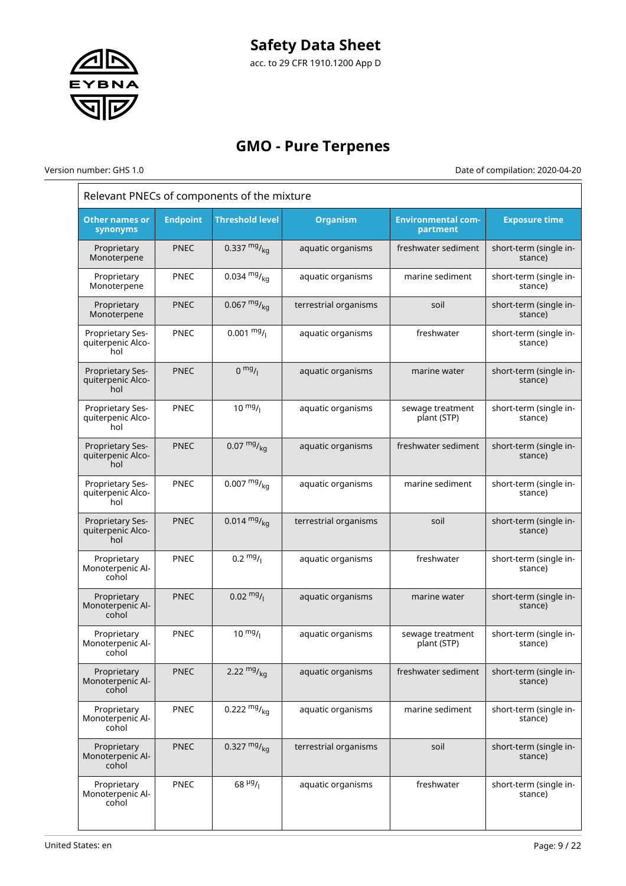

acc. to 29 CFR 1910.1200 App D

# **GMO - Pure Terpenes**

Version number: GHS 1.0 Date of compilation: 2020-04-20

٦

| Relevant PNECs of components of the mixture         |                 |                        |                       |                                       |                                   |  |
|-----------------------------------------------------|-----------------|------------------------|-----------------------|---------------------------------------|-----------------------------------|--|
| <b>Other names or</b><br>synonyms                   | <b>Endpoint</b> | <b>Threshold level</b> | <b>Organism</b>       | <b>Environmental com-</b><br>partment | <b>Exposure time</b>              |  |
| Proprietary<br>Monoterpene                          | <b>PNEC</b>     | 0.337 $mg/_{ka}$       | aquatic organisms     | freshwater sediment                   | short-term (single in-<br>stance) |  |
| Proprietary<br>Monoterpene                          | <b>PNEC</b>     | 0.034 $mg/kq$          | aquatic organisms     | marine sediment                       | short-term (single in-<br>stance) |  |
| Proprietary<br>Monoterpene                          | <b>PNEC</b>     | 0.067 $mg/kq$          | terrestrial organisms | soil                                  | short-term (single in-<br>stance) |  |
| Proprietary Ses-<br>quiterpenic Alco-<br>hol        | PNEC            | $0.001 \frac{mg}{l}$   | aquatic organisms     | freshwater                            | short-term (single in-<br>stance) |  |
| Proprietary Ses-<br>quiterpenic Alco-<br>hol        | <b>PNEC</b>     | $0 \frac{mg}{l}$       | aquatic organisms     | marine water                          | short-term (single in-<br>stance) |  |
| Proprietary Ses-<br>quiterpenic Alco-<br>hol        | <b>PNEC</b>     | $10 \frac{mg}{l}$      | aquatic organisms     | sewage treatment<br>plant (STP)       | short-term (single in-<br>stance) |  |
| <b>Proprietary Ses-</b><br>quiterpenic Alco-<br>hol | <b>PNEC</b>     | $0.07 \frac{mg}{ka}$   | aquatic organisms     | freshwater sediment                   | short-term (single in-<br>stance) |  |
| Proprietary Ses-<br>quiterpenic Alco-<br>hol        | <b>PNEC</b>     | $0.007 \frac{mg}{ka}$  | aquatic organisms     | marine sediment                       | short-term (single in-<br>stance) |  |
| Proprietary Ses-<br>quiterpenic Alco-<br>hol        | <b>PNEC</b>     | $0.014 \frac{mg}{kg}$  | terrestrial organisms | soil                                  | short-term (single in-<br>stance) |  |
| Proprietary<br>Monoterpenic Al-<br>cohol            | <b>PNEC</b>     | $0.2 \frac{mg}{l}$     | aquatic organisms     | freshwater                            | short-term (single in-<br>stance) |  |
| Proprietary<br>Monoterpenic Al-<br>cohol            | <b>PNEC</b>     | $0.02 \frac{mg}{l}$    | aquatic organisms     | marine water                          | short-term (single in-<br>stance) |  |
| Proprietary<br>Monoterpenic Al-<br>cohol            | PNEC            | $10 \frac{mg}{l}$      | aquatic organisms     | sewage treatment<br>plant (STP)       | short-term (single in-<br>stance) |  |
| Proprietary<br>Monoterpenic Al-<br>cohol            | <b>PNEC</b>     | 2.22 $mg/kq$           | aquatic organisms     | freshwater sediment                   | short-term (single in-<br>stance) |  |
| Proprietary<br>Monoterpenic Al-<br>cohol            | PNEC            | 0.222 $mg/kq$          | aquatic organisms     | marine sediment                       | short-term (single in-<br>stance) |  |
| Proprietary<br>Monoterpenic Al-<br>cohol            | <b>PNEC</b>     | 0.327 $mg/_{kq}$       | terrestrial organisms | soil                                  | short-term (single in-<br>stance) |  |
| Proprietary<br>Monoterpenic Al-<br>cohol            | PNEC            | $68 \frac{\mu g}{I}$   | aquatic organisms     | freshwater                            | short-term (single in-<br>stance) |  |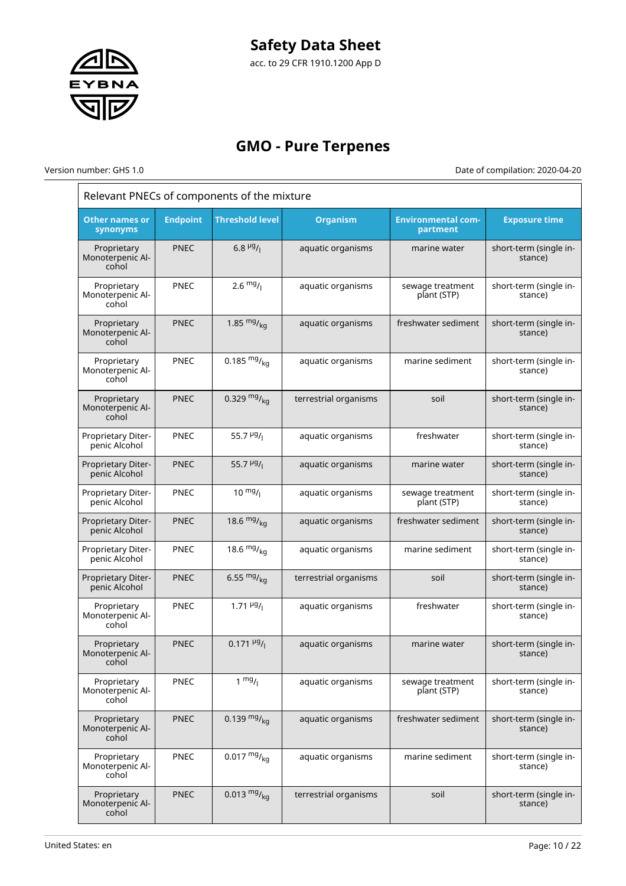

# **GMO - Pure Terpenes**

Version number: GHS 1.0 Date of compilation: 2020-04-20

 $\bar{1}$ 

| Relevant PNECs of components of the mixture |                 |                                        |                       |                                       |                                   |  |
|---------------------------------------------|-----------------|----------------------------------------|-----------------------|---------------------------------------|-----------------------------------|--|
| <b>Other names or</b><br>synonyms           | <b>Endpoint</b> | <b>Threshold level</b>                 | <b>Organism</b>       | <b>Environmental com-</b><br>partment | <b>Exposure time</b>              |  |
| Proprietary<br>Monoterpenic Al-<br>cohol    | <b>PNEC</b>     | 6.8 $\mu$ g/                           | aquatic organisms     | marine water                          | short-term (single in-<br>stance) |  |
| Proprietary<br>Monoterpenic Al-<br>cohol    | <b>PNEC</b>     | $2.6 \frac{mg}{l}$                     | aquatic organisms     | sewage treatment<br>plant (STP)       | short-term (single in-<br>stance) |  |
| Proprietary<br>Monoterpenic Al-<br>cohol    | <b>PNEC</b>     | 1.85 $mg/kq$                           | aquatic organisms     | freshwater sediment                   | short-term (single in-<br>stance) |  |
| Proprietary<br>Monoterpenic Al-<br>cohol    | <b>PNEC</b>     | 0.185 $mg/kq$                          | aquatic organisms     | marine sediment                       | short-term (single in-<br>stance) |  |
| Proprietary<br>Monoterpenic Al-<br>cohol    | <b>PNEC</b>     | 0.329 $mg/_{ka}$                       | terrestrial organisms | soil                                  | short-term (single in-<br>stance) |  |
| Proprietary Diter-<br>penic Alcohol         | <b>PNEC</b>     | 55.7 $\mu$ <sup>g</sup> / <sub>1</sub> | aquatic organisms     | freshwater                            | short-term (single in-<br>stance) |  |
| Proprietary Diter-<br>penic Alcohol         | <b>PNEC</b>     | 55.7 $\frac{\mu g}{I}$                 | aquatic organisms     | marine water                          | short-term (single in-<br>stance) |  |
| Proprietary Diter-<br>penic Alcohol         | <b>PNEC</b>     | $10^{mg}$ /                            | aquatic organisms     | sewage treatment<br>plant (STP)       | short-term (single in-<br>stance) |  |
| Proprietary Diter-<br>penic Alcohol         | <b>PNEC</b>     | 18.6 $mg/m$ <sub>ka</sub>              | aquatic organisms     | freshwater sediment                   | short-term (single in-<br>stance) |  |
| Proprietary Diter-<br>penic Alcohol         | <b>PNEC</b>     | 18.6 $mg/_{ka}$                        | aquatic organisms     | marine sediment                       | short-term (single in-<br>stance) |  |
| Proprietary Diter-<br>penic Alcohol         | <b>PNEC</b>     | 6.55 $mg/kq$                           | terrestrial organisms | soil                                  | short-term (single in-<br>stance) |  |
| Proprietary<br>Monoterpenic Al-<br>cohol    | <b>PNEC</b>     | $1.71 \frac{\mu g}{I}$                 | aquatic organisms     | freshwater                            | short-term (single in-<br>stance) |  |
| Proprietary<br>Monoterpenic Al-<br>cohol    | <b>PNEC</b>     | $0.171 \frac{\mu g}{I}$                | aquatic organisms     | marine water                          | short-term (single in-<br>stance) |  |
| Proprietary<br>Monoterpenic Al-<br>cohol    | <b>PNEC</b>     | $1 \frac{mg}{l}$                       | aquatic organisms     | sewage treatment<br>plant (STP)       | short-term (single in-<br>stance) |  |
| Proprietary<br>Monoterpenic Al-<br>cohol    | <b>PNEC</b>     | 0.139 $mg/kq$                          | aquatic organisms     | freshwater sediment                   | short-term (single in-<br>stance) |  |
| Proprietary<br>Monoterpenic Al-<br>cohol    | <b>PNEC</b>     | $0.017 \frac{mg}{kg}$                  | aquatic organisms     | marine sediment                       | short-term (single in-<br>stance) |  |
| Proprietary<br>Monoterpenic Al-<br>cohol    | <b>PNEC</b>     | $0.013 \frac{mg}{kg}$                  | terrestrial organisms | soil                                  | short-term (single in-<br>stance) |  |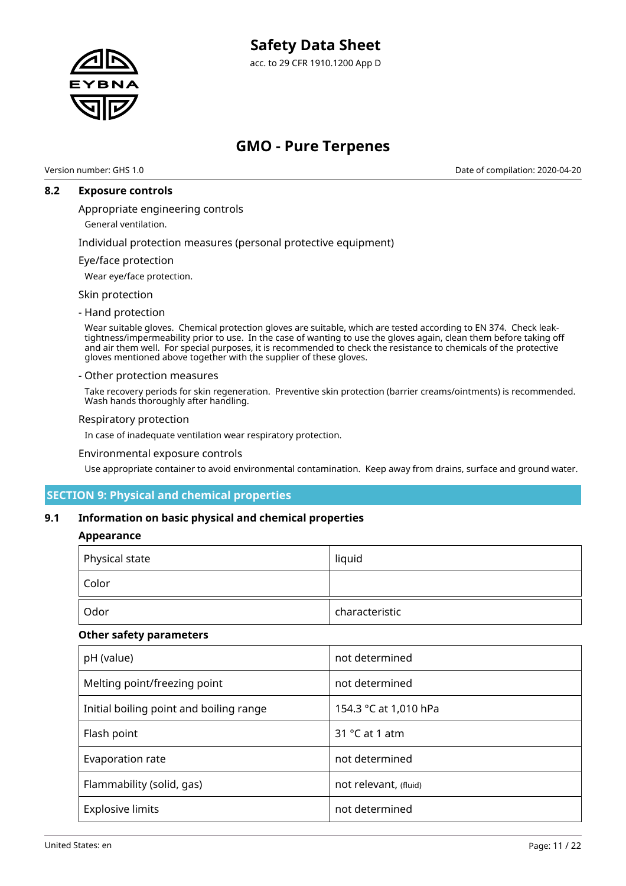

# **GMO - Pure Terpenes**

Version number: GHS 1.0 Date of compilation: 2020-04-20

### **8.2 Exposure controls**

Appropriate engineering controls

General ventilation.

Individual protection measures (personal protective equipment)

#### Eye/face protection

Wear eye/face protection.

Skin protection

#### - Hand protection

Wear suitable gloves. Chemical protection gloves are suitable, which are tested according to EN 374. Check leaktightness/impermeability prior to use. In the case of wanting to use the gloves again, clean them before taking off and air them well. For special purposes, it is recommended to check the resistance to chemicals of the protective gloves mentioned above together with the supplier of these gloves.

#### - Other protection measures

Take recovery periods for skin regeneration. Preventive skin protection (barrier creams/ointments) is recommended. Wash hands thoroughly after handling.

#### Respiratory protection

In case of inadequate ventilation wear respiratory protection.

#### Environmental exposure controls

Use appropriate container to avoid environmental contamination. Keep away from drains, surface and ground water.

### **SECTION 9: Physical and chemical properties**

#### **9.1 Information on basic physical and chemical properties**

#### **Appearance**

| $\mid$ Physical state | liquid         |  |
|-----------------------|----------------|--|
| Color                 |                |  |
| Odor                  | characteristic |  |

#### **Other safety parameters**

| pH (value)                              | not determined          |
|-----------------------------------------|-------------------------|
| Melting point/freezing point            | not determined          |
| Initial boiling point and boiling range | 154.3 °C at 1,010 hPa   |
| Flash point                             | 31 $\degree$ C at 1 atm |
| Evaporation rate                        | not determined          |
| Flammability (solid, gas)               | not relevant, (fluid)   |
| <b>Explosive limits</b>                 | not determined          |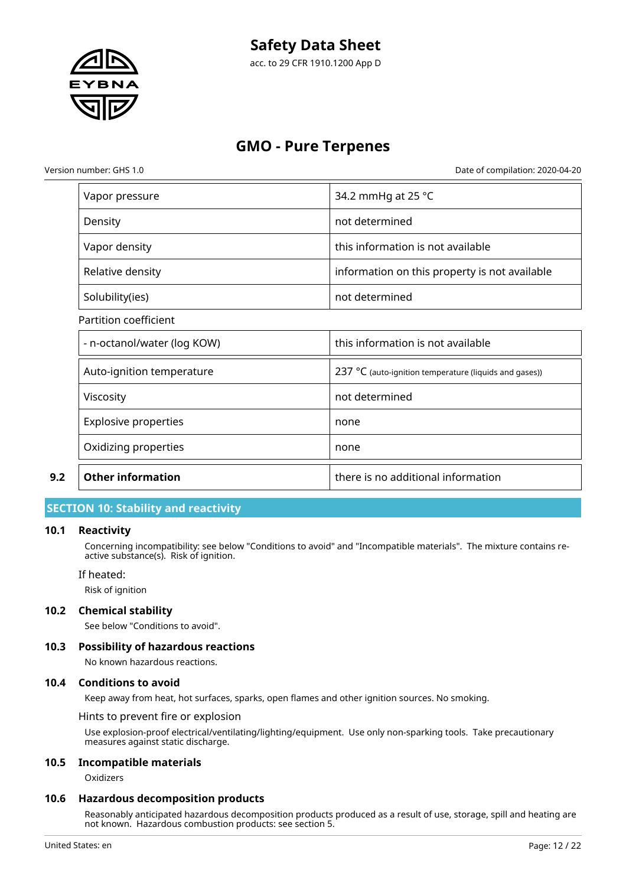

acc. to 29 CFR 1910.1200 App D

# **GMO - Pure Terpenes**

Version number: GHS 1.0 Date of compilation: 2020-04-20

|     | Vapor pressure              | 34.2 mmHg at 25 °C                                              |
|-----|-----------------------------|-----------------------------------------------------------------|
|     | Density                     | not determined                                                  |
|     | Vapor density               | this information is not available                               |
|     | Relative density            | information on this property is not available                   |
|     | Solubility(ies)             | not determined                                                  |
|     | Partition coefficient       |                                                                 |
|     | - n-octanol/water (log KOW) | this information is not available                               |
|     | Auto-ignition temperature   | 237 $\degree$ C (auto-ignition temperature (liquids and gases)) |
|     | Viscosity                   | not determined                                                  |
|     | <b>Explosive properties</b> | none                                                            |
|     | Oxidizing properties        | none                                                            |
| 9.2 | <b>Other information</b>    | there is no additional information                              |

# **SECTION 10: Stability and reactivity**

#### **10.1 Reactivity**

Concerning incompatibility: see below "Conditions to avoid" and "Incompatible materials". The mixture contains reactive substance(s). Risk of ignition.

If heated:

Risk of ignition

### **10.2 Chemical stability**

See below "Conditions to avoid".

### **10.3 Possibility of hazardous reactions**

No known hazardous reactions.

#### **10.4 Conditions to avoid**

Keep away from heat, hot surfaces, sparks, open flames and other ignition sources. No smoking.

Hints to prevent fire or explosion

Use explosion-proof electrical/ventilating/lighting/equipment. Use only non-sparking tools. Take precautionary measures against static discharge.

#### **10.5 Incompatible materials**

**Oxidizers** 

#### **10.6 Hazardous decomposition products**

Reasonably anticipated hazardous decomposition products produced as a result of use, storage, spill and heating are not known. Hazardous combustion products: see section 5.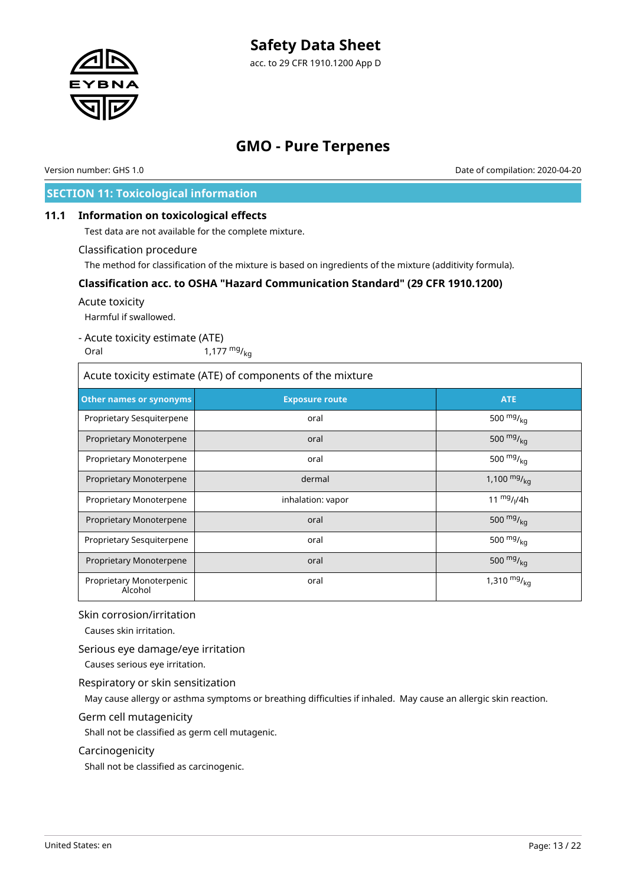

# **GMO - Pure Terpenes**

Version number: GHS 1.0 Date of compilation: 2020-04-20

# **SECTION 11: Toxicological information**

# **11.1 Information on toxicological effects**

Test data are not available for the complete mixture.

#### Classification procedure

The method for classification of the mixture is based on ingredients of the mixture (additivity formula).

### **Classification acc. to OSHA "Hazard Communication Standard" (29 CFR 1910.1200)**

#### Acute toxicity

Harmful if swallowed.

# - Acute toxicity estimate (ATE)

Oral  $1,177 \frac{mg}{kg}$ 

| Acute toxicity estimate (ATE) of components of the mixture |                       |                  |  |
|------------------------------------------------------------|-----------------------|------------------|--|
| Other names or synonyms                                    | <b>Exposure route</b> | <b>ATE</b>       |  |
| Proprietary Sesquiterpene                                  | oral                  | 500 $mg/_{kq}$   |  |
| Proprietary Monoterpene                                    | oral                  | 500 $mg/_{ka}$   |  |
| Proprietary Monoterpene                                    | oral                  | 500 $mg/_{ka}$   |  |
| Proprietary Monoterpene                                    | dermal                | 1,100 $mg/_{ka}$ |  |
| Proprietary Monoterpene                                    | inhalation: vapor     | 11 $mg/1/4h$     |  |
| Proprietary Monoterpene                                    | oral                  | 500 $mg/_{kq}$   |  |
| Proprietary Sesquiterpene                                  | oral                  | 500 $mg/_{ka}$   |  |
| Proprietary Monoterpene                                    | oral                  | 500 $mg/kq$      |  |
| Proprietary Monoterpenic<br>Alcohol                        | oral                  | 1,310 $mg/_{kq}$ |  |

### Skin corrosion/irritation

Causes skin irritation.

### Serious eye damage/eye irritation

Causes serious eye irritation.

### Respiratory or skin sensitization

May cause allergy or asthma symptoms or breathing difficulties if inhaled. May cause an allergic skin reaction.

### Germ cell mutagenicity

Shall not be classified as germ cell mutagenic.

### Carcinogenicity

Shall not be classified as carcinogenic.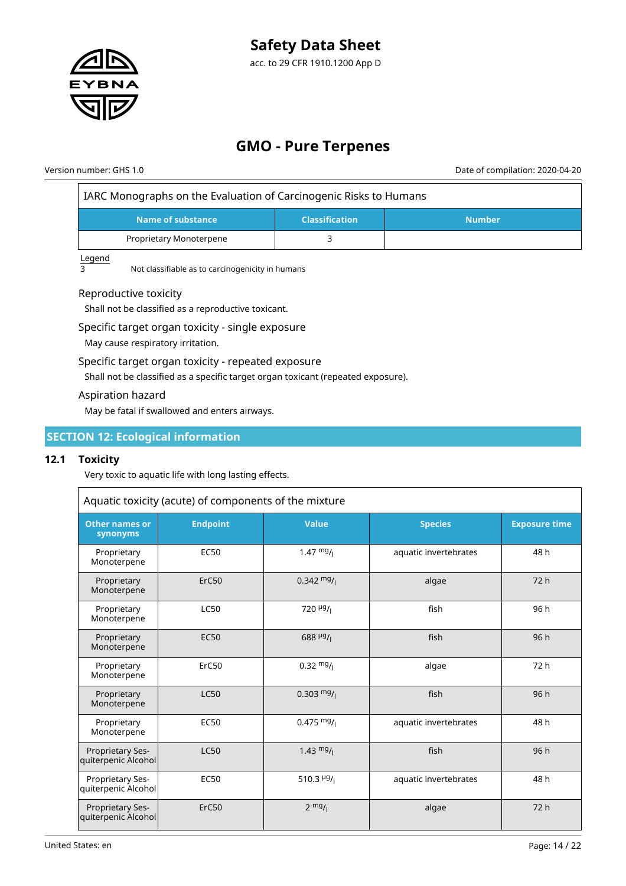

# **GMO - Pure Terpenes**

Version number: GHS 1.0 Date of compilation: 2020-04-20

| IARC Monographs on the Evaluation of Carcinogenic Risks to Humans |  |
|-------------------------------------------------------------------|--|
|                                                                   |  |

| Name of substance       | <b>Classification</b> | <b>Number</b> |
|-------------------------|-----------------------|---------------|
| Proprietary Monoterpene |                       |               |

Legend

 $\overline{3}$  Not classifiable as to carcinogenicity in humans

# Reproductive toxicity

Shall not be classified as a reproductive toxicant.

Specific target organ toxicity - single exposure

May cause respiratory irritation.

### Specific target organ toxicity - repeated exposure

Shall not be classified as a specific target organ toxicant (repeated exposure).

#### Aspiration hazard

May be fatal if swallowed and enters airways.

# **SECTION 12: Ecological information**

### **12.1 Toxicity**

Very toxic to aquatic life with long lasting effects.

| Aquatic toxicity (acute) of components of the mixture |                 |                                    |                       |                      |
|-------------------------------------------------------|-----------------|------------------------------------|-----------------------|----------------------|
| <b>Other names or</b><br>synonyms                     | <b>Endpoint</b> | <b>Value</b>                       | <b>Species</b>        | <b>Exposure time</b> |
| Proprietary<br>Monoterpene                            | <b>EC50</b>     | 1.47 $mg/$                         | aquatic invertebrates | 48 h                 |
| Proprietary<br>Monoterpene                            | ErC50           | $0.342 \frac{mg}{l}$               | algae                 | 72 h                 |
| Proprietary<br>Monoterpene                            | <b>LC50</b>     | 720 $\mu$ g/                       | fish                  | 96 h                 |
| Proprietary<br>Monoterpene                            | <b>EC50</b>     | $688$ <sup>µg</sup> / <sub>1</sub> | fish                  | 96h                  |
| Proprietary<br>Monoterpene                            | ErC50           | $0.32 \frac{mg}{l}$                | algae                 | 72 h                 |
| Proprietary<br>Monoterpene                            | <b>LC50</b>     | $0.303 \text{ mg}$ /               | fish                  | 96h                  |
| Proprietary<br>Monoterpene                            | <b>EC50</b>     | $0.475 \frac{mg}{l}$               | aquatic invertebrates | 48 h                 |
| Proprietary Ses-<br>quiterpenic Alcohol               | <b>LC50</b>     | 1.43 $mg/$                         | fish                  | 96h                  |
| Proprietary Ses-<br>quiterpenic Alcohol               | <b>EC50</b>     | 510.3 $\frac{\mu g}{\mu}$          | aquatic invertebrates | 48 h                 |
| Proprietary Ses-<br>quiterpenic Alcohol               | ErC50           | $2 \frac{mg}{l}$                   | algae                 | 72h                  |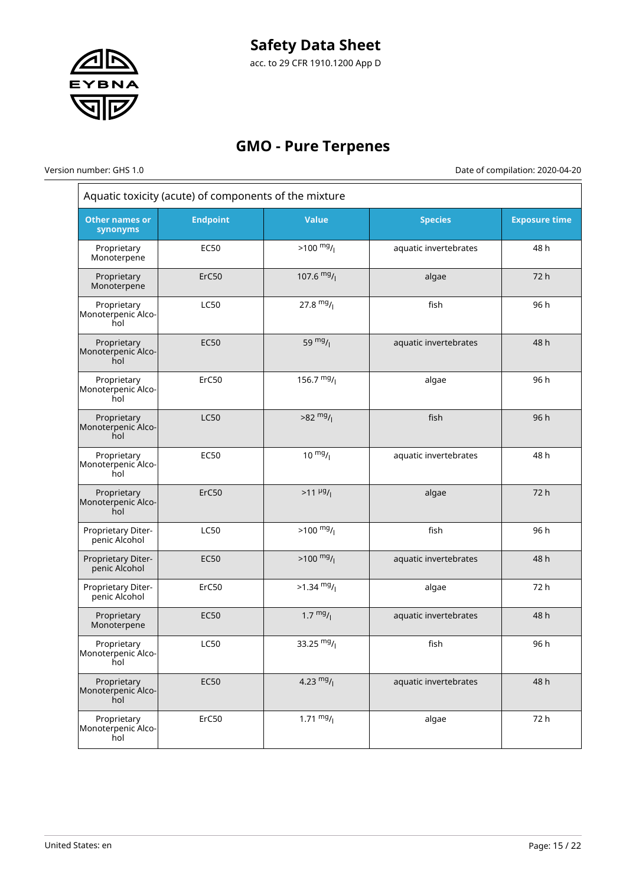

# **GMO - Pure Terpenes**

 $\overline{\phantom{a}}$ 

Version number: GHS 1.0 Date of compilation: 2020-04-20  $\frac{1}{1}$ 

| Aquatic toxicity (acute) of components of the mixture |                 |                       |                       |                      |
|-------------------------------------------------------|-----------------|-----------------------|-----------------------|----------------------|
| <b>Other names or</b><br>synonyms                     | <b>Endpoint</b> | <b>Value</b>          | <b>Species</b>        | <b>Exposure time</b> |
| Proprietary<br>Monoterpene                            | <b>EC50</b>     | $>100$ mg/            | aquatic invertebrates | 48 h                 |
| Proprietary<br>Monoterpene                            | ErC50           | 107.6 $mg/$           | algae                 | 72 h                 |
| Proprietary<br>Monoterpenic Alco-<br>hol              | <b>LC50</b>     | 27.8 $mg/1$           | fish                  | 96 h                 |
| Proprietary<br>Monoterpenic Alco-<br>hol              | <b>EC50</b>     | 59 $mg/1$             | aquatic invertebrates | 48 h                 |
| Proprietary<br>Monoterpenic Alco-<br>hol              | ErC50           | 156.7 $mg/$           | algae                 | 96 h                 |
| Proprietary<br>Monoterpenic Alco-<br>hol              | <b>LC50</b>     | $>82 \frac{mg}{l}$    | fish                  | 96 h                 |
| Proprietary<br>Monoterpenic Alco-<br>hol              | EC50            | $10 \frac{mg}{l}$     | aquatic invertebrates | 48 h                 |
| Proprietary<br>Monoterpenic Alco-<br>hol              | ErC50           | $>11 \frac{\mu g}{I}$ | algae                 | 72 h                 |
| Proprietary Diter-<br>penic Alcohol                   | <b>LC50</b>     | $>100 \frac{mg}{l}$   | fish                  | 96 h                 |
| Proprietary Diter-<br>penic Alcohol                   | <b>EC50</b>     | $>100 \frac{mg}{l}$   | aquatic invertebrates | 48 h                 |
| Proprietary Diter-<br>penic Alcohol                   | ErC50           | $>1.34$ mg/           | algae                 | 72 h                 |
| Proprietary<br>Monoterpene                            | <b>EC50</b>     | $1.7 \frac{mg}{l}$    | aquatic invertebrates | 48 h                 |
| Proprietary<br>Monoterpenic Alco-<br>hol              | <b>LC50</b>     | 33.25 $mg/$           | fish                  | 96 h                 |
| Proprietary<br>Monoterpenic Alco-<br>hol              | <b>EC50</b>     | 4.23 $mg/$            | aquatic invertebrates | 48 h                 |
| Proprietary<br>Monoterpenic Alco-<br>hol              | ErC50           | $1.71 \frac{mg}{l}$   | algae                 | 72 h                 |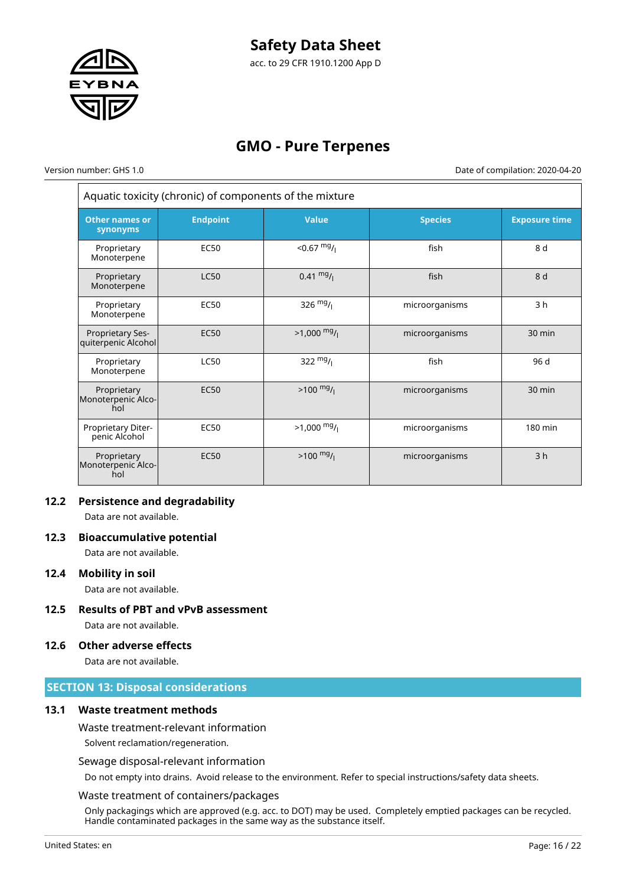

# **GMO - Pure Terpenes**

 $\overline{r}$ 

Version number: GHS 1.0 Date of compilation: 2020-04-20

| Aquatic toxicity (chronic) of components of the mixture |                 |                     |                |                      |
|---------------------------------------------------------|-----------------|---------------------|----------------|----------------------|
| <b>Other names or</b><br>synonyms                       | <b>Endpoint</b> | <b>Value</b>        | <b>Species</b> | <b>Exposure time</b> |
| Proprietary<br>Monoterpene                              | <b>EC50</b>     | $< 0.67$ mg/        | fish           | 8 d                  |
| Proprietary<br>Monoterpene                              | <b>LC50</b>     | $0.41 \frac{mg}{l}$ | fish           | 8 d                  |
| Proprietary<br>Monoterpene                              | <b>EC50</b>     | 326 $mg/1$          | microorganisms | 3 <sub>h</sub>       |
| <b>Proprietary Ses-</b><br>quiterpenic Alcohol          | <b>EC50</b>     | $>1,000$ mg/        | microorganisms | $30 \text{ min}$     |
| Proprietary<br>Monoterpene                              | <b>LC50</b>     | 322 $mg/$           | fish           | 96 d                 |
| Proprietary<br>Monoterpenic Alco-<br>hol                | <b>EC50</b>     | $>100 \frac{mg}{l}$ | microorganisms | $30 \text{ min}$     |
| Proprietary Diter-<br>penic Alcohol                     | <b>EC50</b>     | $>1,000$ mg/        | microorganisms | 180 min              |
| Proprietary<br>Monoterpenic Alco-<br>hol                | <b>EC50</b>     | $>100 \frac{mg}{l}$ | microorganisms | 3 <sub>h</sub>       |

### **12.2 Persistence and degradability**

Data are not available.

### **12.3 Bioaccumulative potential**

Data are not available.

#### **12.4 Mobility in soil**

Data are not available.

**12.5 Results of PBT and vPvB assessment** Data are not available.

#### **12.6 Other adverse effects**

Data are not available.

# **SECTION 13: Disposal considerations**

### **13.1 Waste treatment methods**

#### Waste treatment-relevant information

Solvent reclamation/regeneration.

#### Sewage disposal-relevant information

Do not empty into drains. Avoid release to the environment. Refer to special instructions/safety data sheets.

#### Waste treatment of containers/packages

Only packagings which are approved (e.g. acc. to DOT) may be used. Completely emptied packages can be recycled. Handle contaminated packages in the same way as the substance itself.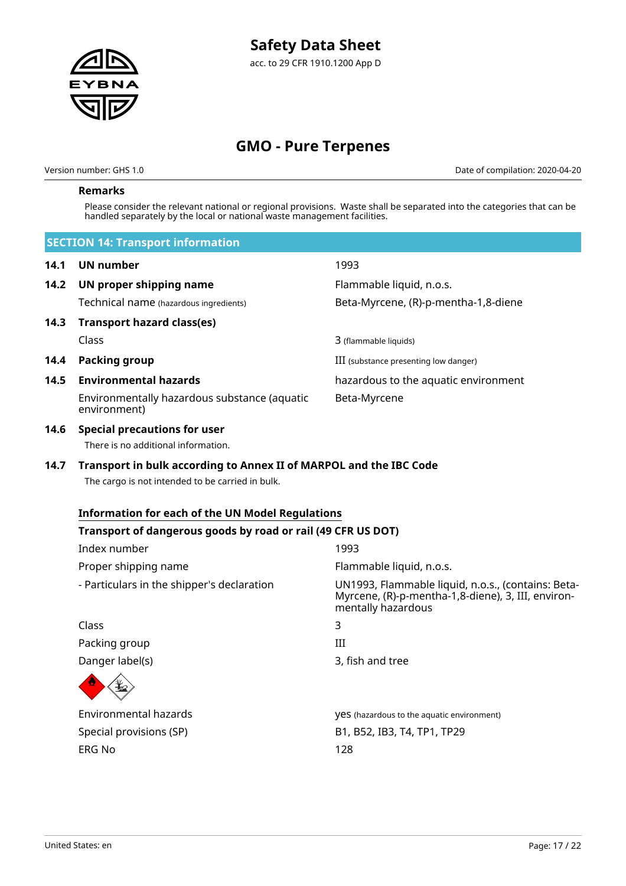

Version number: GHS 1.0 Date of compilation: 2020-04-20

### **Remarks**

Please consider the relevant national or regional provisions. Waste shall be separated into the categories that can be handled separately by the local or national waste management facilities.

|      | <b>SECTION 14: Transport information</b>                                                                               |                                                                                                                                |
|------|------------------------------------------------------------------------------------------------------------------------|--------------------------------------------------------------------------------------------------------------------------------|
| 14.1 | <b>UN number</b>                                                                                                       | 1993                                                                                                                           |
| 14.2 | UN proper shipping name                                                                                                | Flammable liquid, n.o.s.                                                                                                       |
|      | Technical name (hazardous ingredients)                                                                                 | Beta-Myrcene, (R)-p-mentha-1,8-diene                                                                                           |
| 14.3 | <b>Transport hazard class(es)</b>                                                                                      |                                                                                                                                |
|      | Class                                                                                                                  | 3 (flammable liquids)                                                                                                          |
| 14.4 | <b>Packing group</b>                                                                                                   | III (substance presenting low danger)                                                                                          |
| 14.5 | <b>Environmental hazards</b>                                                                                           | hazardous to the aquatic environment                                                                                           |
|      | Environmentally hazardous substance (aquatic<br>environment)                                                           | Beta-Myrcene                                                                                                                   |
| 14.6 | <b>Special precautions for user</b><br>There is no additional information.                                             |                                                                                                                                |
| 14.7 | Transport in bulk according to Annex II of MARPOL and the IBC Code<br>The cargo is not intended to be carried in bulk. |                                                                                                                                |
|      | <b>Information for each of the UN Model Regulations</b>                                                                |                                                                                                                                |
|      | Transport of dangerous goods by road or rail (49 CFR US DOT)                                                           |                                                                                                                                |
|      | Index number                                                                                                           | 1993                                                                                                                           |
|      | Proper shipping name                                                                                                   | Flammable liquid, n.o.s.                                                                                                       |
|      | - Particulars in the shipper's declaration                                                                             | UN1993, Flammable liquid, n.o.s., (contains: Beta-<br>Myrcene, (R)-p-mentha-1,8-diene), 3, III, environ-<br>mentally hazardous |
|      | Class                                                                                                                  | 3                                                                                                                              |
|      | Packing group                                                                                                          | Ш                                                                                                                              |
|      | Danger label(s)                                                                                                        | 3, fish and tree                                                                                                               |
|      |                                                                                                                        |                                                                                                                                |
|      | <b>Environmental hazards</b>                                                                                           | <b>YES</b> (hazardous to the aquatic environment)                                                                              |
|      | Special provisions (SP)                                                                                                | B1, B52, IB3, T4, TP1, TP29                                                                                                    |
|      | <b>ERG No</b>                                                                                                          | 128                                                                                                                            |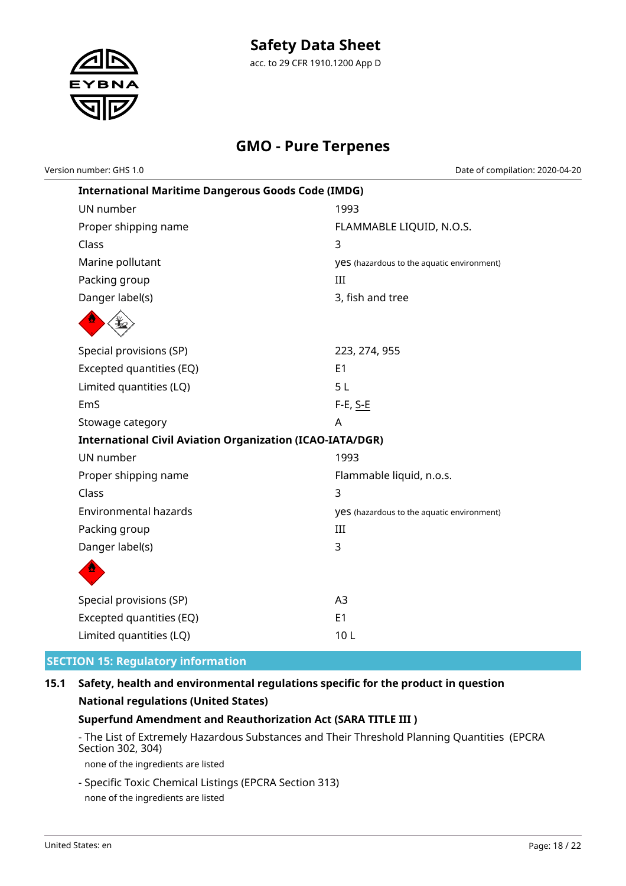

acc. to 29 CFR 1910.1200 App D

# **GMO - Pure Terpenes**

Version number: GHS 1.0 Date of compilation: 2020-04-20

| <b>International Maritime Dangerous Goods Code (IMDG)</b>        |                                            |  |  |
|------------------------------------------------------------------|--------------------------------------------|--|--|
| UN number                                                        | 1993                                       |  |  |
| Proper shipping name                                             | FLAMMABLE LIQUID, N.O.S.                   |  |  |
| Class                                                            | 3                                          |  |  |
| Marine pollutant                                                 | yes (hazardous to the aquatic environment) |  |  |
| Packing group                                                    | III                                        |  |  |
| Danger label(s)                                                  | 3, fish and tree                           |  |  |
|                                                                  |                                            |  |  |
| Special provisions (SP)                                          | 223, 274, 955                              |  |  |
| Excepted quantities (EQ)                                         | E <sub>1</sub>                             |  |  |
| Limited quantities (LQ)                                          | 5 <sub>L</sub>                             |  |  |
| EmS                                                              | F-E, <u>S-E</u>                            |  |  |
| Stowage category                                                 | A                                          |  |  |
| <b>International Civil Aviation Organization (ICAO-IATA/DGR)</b> |                                            |  |  |
| UN number                                                        | 1993                                       |  |  |
| Proper shipping name                                             | Flammable liquid, n.o.s.                   |  |  |
| Class                                                            | 3                                          |  |  |
| <b>Environmental hazards</b>                                     | yes (hazardous to the aquatic environment) |  |  |
| Packing group                                                    | III                                        |  |  |
| Danger label(s)                                                  | 3                                          |  |  |
|                                                                  |                                            |  |  |
| Special provisions (SP)                                          | A3                                         |  |  |
| Excepted quantities (EQ)                                         | E1                                         |  |  |
| Limited quantities (LQ)                                          | 10L                                        |  |  |

# **SECTION 15: Regulatory information**

# **15.1 Safety, health and environmental regulations specific for the product in question National regulations (United States)**

# **Superfund Amendment and Reauthorization Act (SARA TITLE III )**

- The List of Extremely Hazardous Substances and Their Threshold Planning Quantities (EPCRA Section 302, 304)

none of the ingredients are listed

- Specific Toxic Chemical Listings (EPCRA Section 313) none of the ingredients are listed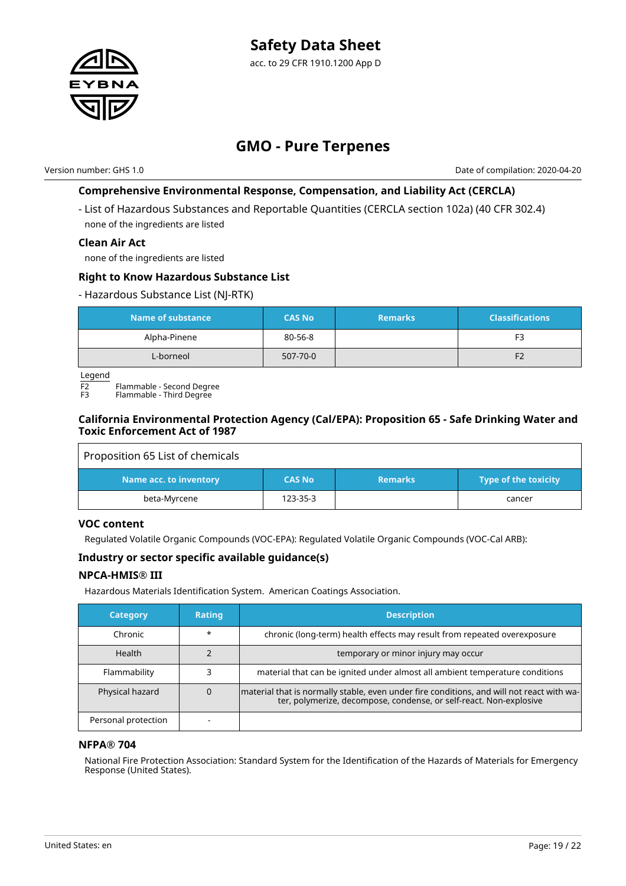

Version number: GHS 1.0 Date of compilation: 2020-04-20

# **Comprehensive Environmental Response, Compensation, and Liability Act (CERCLA)**

- List of Hazardous Substances and Reportable Quantities (CERCLA section 102a) (40 CFR 302.4) none of the ingredients are listed

### **Clean Air Act**

none of the ingredients are listed

#### **Right to Know Hazardous Substance List**

#### - Hazardous Substance List (NJ-RTK)

| Name of substance | <b>CAS No</b> | <b>Remarks</b> | <b>Classifications</b> |
|-------------------|---------------|----------------|------------------------|
| Alpha-Pinene      | 80-56-8       |                | F <sub>3</sub>         |
| L-borneol         | 507-70-0      |                | F <sub>2</sub>         |

Legend

 $\overline{F2}$  Flammable - Second Degree

Flammable - Third Degree

### **California Environmental Protection Agency (Cal/EPA): Proposition 65 - Safe Drinking Water and Toxic Enforcement Act of 1987**

| Proposition 65 List of chemicals |               |                |                      |
|----------------------------------|---------------|----------------|----------------------|
| Name acc. to inventory           | <b>CAS No</b> | <b>Remarks</b> | Type of the toxicity |
| beta-Myrcene                     | 123-35-3      |                | cancer               |

### **VOC content**

Regulated Volatile Organic Compounds (VOC-EPA): Regulated Volatile Organic Compounds (VOC-Cal ARB):

# **Industry or sector specific available guidance(s)**

### **NPCA-HMIS® III**

Hazardous Materials Identification System. American Coatings Association.

| <b>Category</b>     | <b>Rating</b> | <b>Description</b>                                                                                                                                              |
|---------------------|---------------|-----------------------------------------------------------------------------------------------------------------------------------------------------------------|
| Chronic             | $\star$       | chronic (long-term) health effects may result from repeated overexposure                                                                                        |
| <b>Health</b>       |               | temporary or minor injury may occur                                                                                                                             |
| Flammability        |               | material that can be ignited under almost all ambient temperature conditions                                                                                    |
| Physical hazard     |               | material that is normally stable, even under fire conditions, and will not react with wa-<br>ter, polymerize, decompose, condense, or self-react. Non-explosive |
| Personal protection |               |                                                                                                                                                                 |

### **NFPA® 704**

National Fire Protection Association: Standard System for the Identification of the Hazards of Materials for Emergency Response (United States).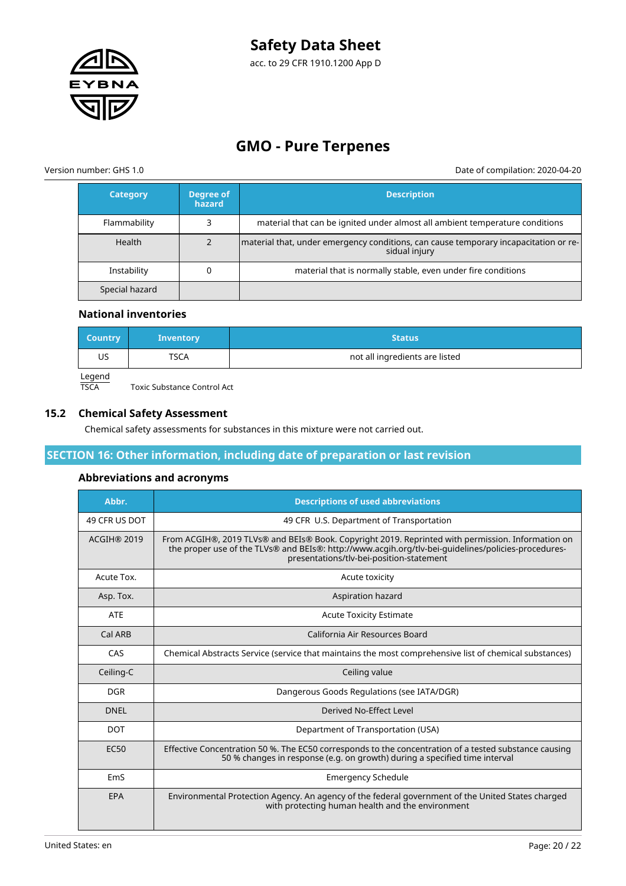

acc. to 29 CFR 1910.1200 App D

# **GMO - Pure Terpenes**

Version number: GHS 1.0 Date of compilation: 2020-04-20

| <b>Category</b> | Degree of<br>hazard | <b>Description</b>                                                                                    |
|-----------------|---------------------|-------------------------------------------------------------------------------------------------------|
| Flammability    |                     | material that can be ignited under almost all ambient temperature conditions                          |
| Health          |                     | material that, under emergency conditions, can cause temporary incapacitation or re-<br>sidual injury |
| Instability     |                     | material that is normally stable, even under fire conditions                                          |
| Special hazard  |                     |                                                                                                       |

#### **National inventories**

| <b>Country</b> | <b>Inventory</b> | <b>Status</b>                  |  |  |
|----------------|------------------|--------------------------------|--|--|
| US             | TSCA             | not all ingredients are listed |  |  |
| Legend         |                  |                                |  |  |

TSCA Toxic Substance Control Act

### **15.2 Chemical Safety Assessment**

Chemical safety assessments for substances in this mixture were not carried out.

### **SECTION 16: Other information, including date of preparation or last revision**

### **Abbreviations and acronyms**

| Abbr.              | <b>Descriptions of used abbreviations</b>                                                                                                                                                                                                            |
|--------------------|------------------------------------------------------------------------------------------------------------------------------------------------------------------------------------------------------------------------------------------------------|
| 49 CFR US DOT      | 49 CFR U.S. Department of Transportation                                                                                                                                                                                                             |
| <b>ACGIH® 2019</b> | From ACGIH®, 2019 TLVs® and BEIs® Book. Copyright 2019. Reprinted with permission. Information on<br>the proper use of the TLVs® and BEIs®: http://www.acgih.org/tlv-bei-guidelines/policies-procedures-<br>presentations/tlv-bei-position-statement |
| Acute Tox.         | Acute toxicity                                                                                                                                                                                                                                       |
| Asp. Tox.          | Aspiration hazard                                                                                                                                                                                                                                    |
| <b>ATE</b>         | <b>Acute Toxicity Estimate</b>                                                                                                                                                                                                                       |
| Cal ARB            | California Air Resources Board                                                                                                                                                                                                                       |
| CAS                | Chemical Abstracts Service (service that maintains the most comprehensive list of chemical substances)                                                                                                                                               |
| Ceiling-C          | Ceiling value                                                                                                                                                                                                                                        |
| <b>DGR</b>         | Dangerous Goods Regulations (see IATA/DGR)                                                                                                                                                                                                           |
| <b>DNEL</b>        | Derived No-Effect Level                                                                                                                                                                                                                              |
| <b>DOT</b>         | Department of Transportation (USA)                                                                                                                                                                                                                   |
| <b>EC50</b>        | Effective Concentration 50 %. The EC50 corresponds to the concentration of a tested substance causing<br>50 % changes in response (e.g. on growth) during a specified time interval                                                                  |
| EmS                | <b>Emergency Schedule</b>                                                                                                                                                                                                                            |
| <b>EPA</b>         | Environmental Protection Agency. An agency of the federal government of the United States charged<br>with protecting human health and the environment                                                                                                |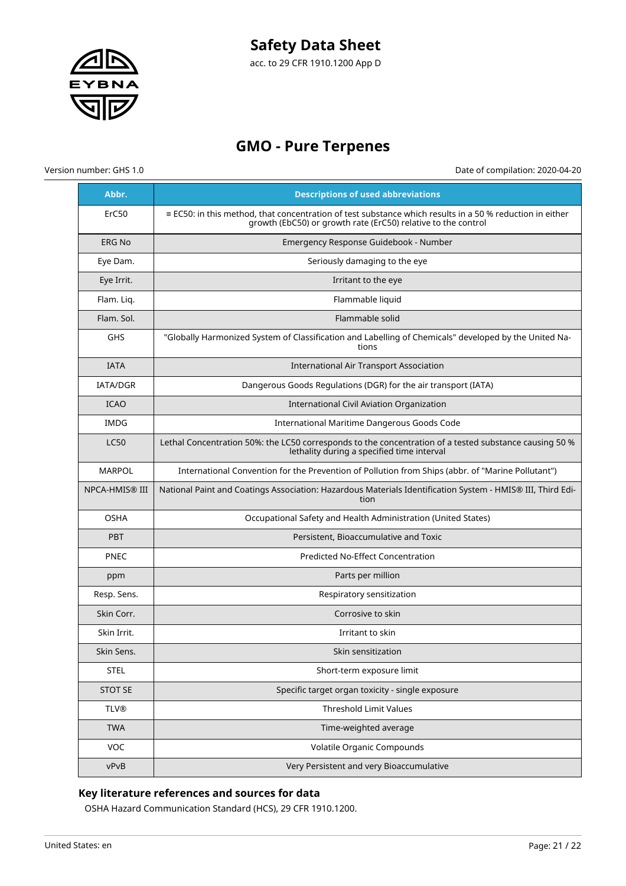

acc. to 29 CFR 1910.1200 App D

# **GMO - Pure Terpenes**

Version number: GHS 1.0 Date of compilation: 2020-04-20

| Abbr.                 | <b>Descriptions of used abbreviations</b>                                                                                                                                        |
|-----------------------|----------------------------------------------------------------------------------------------------------------------------------------------------------------------------------|
| ErC50                 | $\equiv$ EC50: in this method, that concentration of test substance which results in a 50 % reduction in either<br>growth (EbC50) or growth rate (ErC50) relative to the control |
| <b>ERG No</b>         | Emergency Response Guidebook - Number                                                                                                                                            |
| Eye Dam.              | Seriously damaging to the eye                                                                                                                                                    |
| Eye Irrit.            | Irritant to the eye                                                                                                                                                              |
| Flam. Liq.            | Flammable liquid                                                                                                                                                                 |
| Flam. Sol.            | Flammable solid                                                                                                                                                                  |
| GHS                   | "Globally Harmonized System of Classification and Labelling of Chemicals" developed by the United Na-<br>tions                                                                   |
| <b>IATA</b>           | <b>International Air Transport Association</b>                                                                                                                                   |
| <b>IATA/DGR</b>       | Dangerous Goods Regulations (DGR) for the air transport (IATA)                                                                                                                   |
| <b>ICAO</b>           | International Civil Aviation Organization                                                                                                                                        |
| <b>IMDG</b>           | International Maritime Dangerous Goods Code                                                                                                                                      |
| <b>LC50</b>           | Lethal Concentration 50%: the LC50 corresponds to the concentration of a tested substance causing 50 %<br>lethality during a specified time interval                             |
| <b>MARPOL</b>         | International Convention for the Prevention of Pollution from Ships (abbr. of "Marine Pollutant")                                                                                |
| <b>NPCA-HMIS® III</b> | National Paint and Coatings Association: Hazardous Materials Identification System - HMIS® III, Third Edi-<br>tion                                                               |
| <b>OSHA</b>           | Occupational Safety and Health Administration (United States)                                                                                                                    |
| <b>PBT</b>            | Persistent, Bioaccumulative and Toxic                                                                                                                                            |
| <b>PNEC</b>           | Predicted No-Effect Concentration                                                                                                                                                |
| ppm                   | Parts per million                                                                                                                                                                |
| Resp. Sens.           | Respiratory sensitization                                                                                                                                                        |
| Skin Corr.            | Corrosive to skin                                                                                                                                                                |
| Skin Irrit.           | Irritant to skin                                                                                                                                                                 |
| Skin Sens.            | Skin sensitization                                                                                                                                                               |
| <b>STEL</b>           | Short-term exposure limit                                                                                                                                                        |
| <b>STOT SE</b>        | Specific target organ toxicity - single exposure                                                                                                                                 |
| <b>TLV®</b>           | <b>Threshold Limit Values</b>                                                                                                                                                    |
| <b>TWA</b>            | Time-weighted average                                                                                                                                                            |
| VOC                   | Volatile Organic Compounds                                                                                                                                                       |
| vPvB                  | Very Persistent and very Bioaccumulative                                                                                                                                         |

# **Key literature references and sources for data**

OSHA Hazard Communication Standard (HCS), 29 CFR 1910.1200.